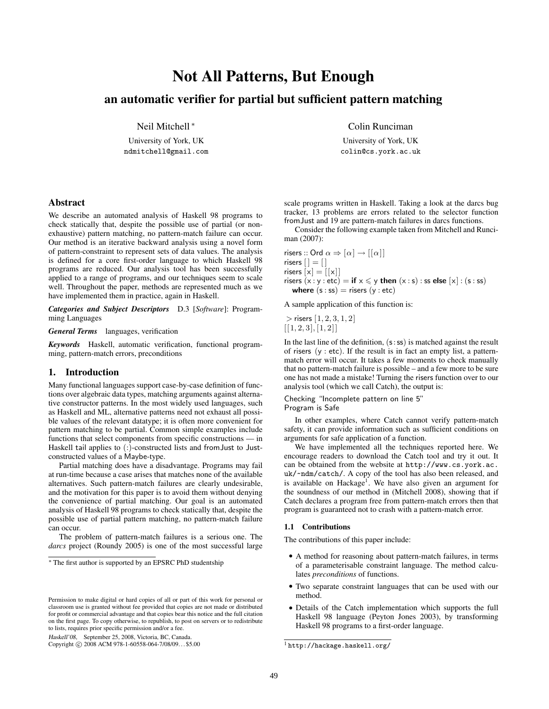# Not All Patterns, But Enough

# an automatic verifier for partial but sufficient pattern matching

Neil Mitchell <sup>∗</sup>

University of York, UK ndmitchell@gmail.com Colin Runciman

University of York, UK colin@cs.york.ac.uk

# Abstract

We describe an automated analysis of Haskell 98 programs to check statically that, despite the possible use of partial (or nonexhaustive) pattern matching, no pattern-match failure can occur. Our method is an iterative backward analysis using a novel form of pattern-constraint to represent sets of data values. The analysis is defined for a core first-order language to which Haskell 98 programs are reduced. Our analysis tool has been successfully applied to a range of programs, and our techniques seem to scale well. Throughout the paper, methods are represented much as we have implemented them in practice, again in Haskell.

*Categories and Subject Descriptors* D.3 [*Software*]: Programming Languages

*General Terms* languages, verification

*Keywords* Haskell, automatic verification, functional programming, pattern-match errors, preconditions

# 1. Introduction

Many functional languages support case-by-case definition of functions over algebraic data types, matching arguments against alternative constructor patterns. In the most widely used languages, such as Haskell and ML, alternative patterns need not exhaust all possible values of the relevant datatype; it is often more convenient for pattern matching to be partial. Common simple examples include functions that select components from specific constructions — in Haskell tail applies to  $(.)$ -constructed lists and from Just to Justconstructed values of a Maybe-type.

Partial matching does have a disadvantage. Programs may fail at run-time because a case arises that matches none of the available alternatives. Such pattern-match failures are clearly undesirable, and the motivation for this paper is to avoid them without denying the convenience of partial matching. Our goal is an automated analysis of Haskell 98 programs to check statically that, despite the possible use of partial pattern matching, no pattern-match failure can occur.

The problem of pattern-match failures is a serious one. The *darcs* project (Roundy 2005) is one of the most successful large

<sup>∗</sup> The first author is supported by an EPSRC PhD studentship

Haskell'08, September 25, 2008, Victoria, BC, Canada.

Copyright © 2008 ACM 978-1-60558-064-7/08/09... \$5.00

scale programs written in Haskell. Taking a look at the darcs bug tracker, 13 problems are errors related to the selector function fromJust and 19 are pattern-match failures in darcs functions.

Consider the following example taken from Mitchell and Runciman (2007):

$$
\begin{array}{l} \text{risers}::\text{Ord}\ \alpha \Rightarrow [\alpha]\rightarrow [[\alpha]]\\ \text{risers}\ []=[]\\ \text{risers}\ [x]=[[x]]\\ \text{risers}\ (x:y:\text{etc.})= \text{if}\ x\leqslant y\ \text{then}\ (x:s): \text{ss else}\ [x]:(s:ss)\\ \text{where}\ (s:ss)= \text{risers}\ (y:\text{etc.}) \end{array}
$$

A sample application of this function is:

 $>$  risers  $[1, 2, 3, 1, 2]$  $[[1, 2, 3], [1, 2]]$ 

In the last line of the definition,  $(s:ss)$  is matched against the result of risers  $(y : etc)$ . If the result is in fact an empty list, a patternmatch error will occur. It takes a few moments to check manually that no pattern-match failure is possible – and a few more to be sure one has not made a mistake! Turning the risers function over to our analysis tool (which we call Catch), the output is:

Checking "Incomplete pattern on line 5" Program is Safe

In other examples, where Catch cannot verify pattern-match safety, it can provide information such as sufficient conditions on arguments for safe application of a function.

We have implemented all the techniques reported here. We encourage readers to download the Catch tool and try it out. It can be obtained from the website at http://www.cs.york.ac. uk/~ndm/catch/. A copy of the tool has also been released, and is available on Hackage<sup>1</sup>. We have also given an argument for the soundness of our method in (Mitchell 2008), showing that if Catch declares a program free from pattern-match errors then that program is guaranteed not to crash with a pattern-match error.

# 1.1 Contributions

The contributions of this paper include:

- A method for reasoning about pattern-match failures, in terms of a parameterisable constraint language. The method calculates *preconditions* of functions.
- Two separate constraint languages that can be used with our method.
- Details of the Catch implementation which supports the full Haskell 98 language (Peyton Jones 2003), by transforming Haskell 98 programs to a first-order language.

Permission to make digital or hard copies of all or part of this work for personal or classroom use is granted without fee provided that copies are not made or distributed for profit or commercial advantage and that copies bear this notice and the full citation on the first page. To copy otherwise, to republish, to post on servers or to redistribute to lists, requires prior specific permission and/or a fee.

<sup>1</sup> http://hackage.haskell.org/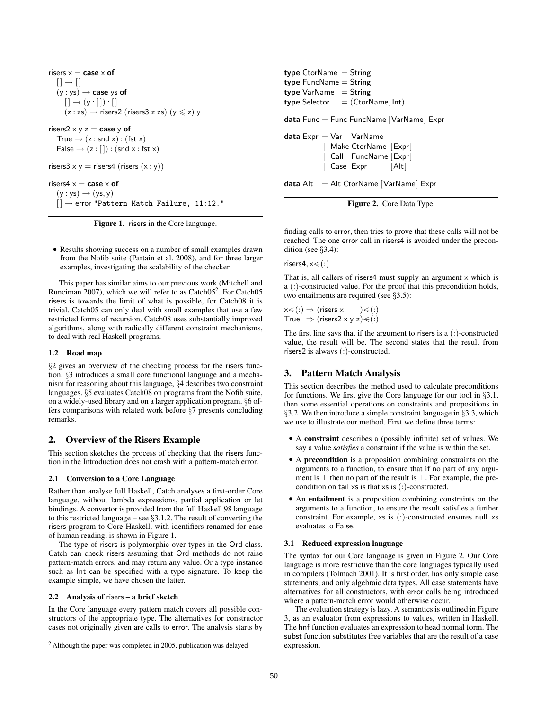```
risers x = \cose \times \textbf{of}[ ] \rightarrow [ ](y:ys) \rightarrow \text{case }ys of
      [ ] \rightarrow (y : [] ) : [](z : zs) \rightarrow rises2 (risers3 z zs) (y \le z) y
risers2 \times y = \cose y of
   True \rightarrow (z : snd x) : (fst x)
   False \rightarrow (z : []) : (snd x : fst x)
risers3 x y = risers4 (risers (x : y))
```

```
risers4 \times = \csc \times \textbf{of}(y : ys) \rightarrow (ys, y)[ ] \rightarrow error "Pattern Match Failure, 11:12."
```
Figure 1. risers in the Core language.

• Results showing success on a number of small examples drawn from the Nofib suite (Partain et al. 2008), and for three larger examples, investigating the scalability of the checker.

This paper has similar aims to our previous work (Mitchell and Runciman 2007), which we will refer to as Catch05<sup>2</sup>. For Catch05 risers is towards the limit of what is possible, for Catch08 it is trivial. Catch05 can only deal with small examples that use a few restricted forms of recursion. Catch08 uses substantially improved algorithms, along with radically different constraint mechanisms, to deal with real Haskell programs.

# 1.2 Road map

§2 gives an overview of the checking process for the risers function. §3 introduces a small core functional language and a mechanism for reasoning about this language, §4 describes two constraint languages. §5 evaluates Catch08 on programs from the Nofib suite, on a widely-used library and on a larger application program. §6 offers comparisons with related work before §7 presents concluding remarks.

# 2. Overview of the Risers Example

This section sketches the process of checking that the risers function in the Introduction does not crash with a pattern-match error.

### 2.1 Conversion to a Core Language

Rather than analyse full Haskell, Catch analyses a first-order Core language, without lambda expressions, partial application or let bindings. A convertor is provided from the full Haskell 98 language to this restricted language – see  $\S 3.1.2$ . The result of converting the risers program to Core Haskell, with identifiers renamed for ease of human reading, is shown in Figure 1.

The type of risers is polymorphic over types in the Ord class. Catch can check risers assuming that Ord methods do not raise pattern-match errors, and may return any value. Or a type instance such as Int can be specified with a type signature. To keep the example simple, we have chosen the latter.

### 2.2 Analysis of risers – a brief sketch

In the Core language every pattern match covers all possible constructors of the appropriate type. The alternatives for constructor cases not originally given are calls to error. The analysis starts by

```
type CtorName = String
type FuncName = String
type VarName = Stringtype Selector = (CtorName, Int)
data Func = Func FuncName [VarName] Expr
data Expr = Var VarName
           | Make CtorName [Expr]
           | Call FuncName [Expr]
         | Case Expr [Alt]
data Alt = Alt CtorName [VarName] Expr
```


finding calls to error, then tries to prove that these calls will not be reached. The one error call in risers4 is avoided under the precondition (see §3.4):

risers $4, x \in (:)$ 

That is, all callers of risers4 must supply an argument  $\times$  which is a (:)-constructed value. For the proof that this precondition holds, two entailments are required (see §3.5):

 $x\leq (x) \Rightarrow$  (risers  $x \in (x)$ )  $\leq (x)$ True  $\Rightarrow$  (risers2 x y z)  $\leq$  (:)

The first line says that if the argument to risers is a (:)-constructed value, the result will be. The second states that the result from risers2 is always (:)-constructed.

# 3. Pattern Match Analysis

This section describes the method used to calculate preconditions for functions. We first give the Core language for our tool in §3.1, then some essential operations on constraints and propositions in §3.2. We then introduce a simple constraint language in §3.3, which we use to illustrate our method. First we define three terms:

- A constraint describes a (possibly infinite) set of values. We say a value *satisfies* a constraint if the value is within the set.
- A precondition is a proposition combining constraints on the arguments to a function, to ensure that if no part of any argument is  $\perp$  then no part of the result is  $\perp$ . For example, the precondition on tail xs is that xs is (:)-constructed.
- An entailment is a proposition combining constraints on the arguments to a function, to ensure the result satisfies a further constraint. For example, xs is (:)-constructed ensures null xs evaluates to False.

### 3.1 Reduced expression language

The syntax for our Core language is given in Figure 2. Our Core language is more restrictive than the core languages typically used in compilers (Tolmach 2001). It is first order, has only simple case statements, and only algebraic data types. All case statements have alternatives for all constructors, with error calls being introduced where a pattern-match error would otherwise occur.

The evaluation strategy is lazy. A semantics is outlined in Figure 3, as an evaluator from expressions to values, written in Haskell. The hnf function evaluates an expression to head normal form. The subst function substitutes free variables that are the result of a case expression.

<sup>2</sup> Although the paper was completed in 2005, publication was delayed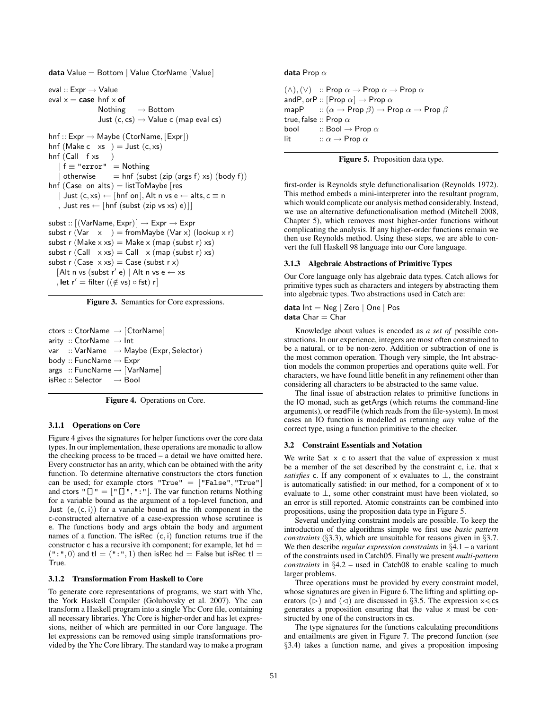```
data Value = Bottom | Value CtorName [Value]
eval :: Expr \rightarrow Value
eval x = \cose hnf x of
                Nothing \rightarrow Bottom
                Just (c, cs) \rightarrow Value c (map eval cs)
hnf :: Expr \rightarrow Maybe (CtorName, [Expr])
hnf (Make c xs ) = Just (c, xs)
hnf (Call f xs )
   | f \equiv "error" = Nothingotherwise = hnf (subst (zip (args f) xs) (body f))
hnf (Case on alts) = listToMaybe [res
   | Just (c, xs) \leftarrow [hnf on], Alt n vs e \leftarrow alts, c \equiv n, Just res \leftarrow [hnf (subst (zip vs xs) e)]]
subst :: [(VarName, Expr)] \rightarrow Expr \rightarrow Exprsubst r (Var x ) = fromMaybe (Var x) (lookup x r)
subst r (Make x \times s) = Make x (map (subst r) xs)
subst r (Call x xs) = Call x (map (subst r) xs)
subst r (Case x xs) = Case (subst r x)
   [Alt n vs (subset r' e) | Alt n vs e \leftarrow xs, let r' = filter ((\notin \mathsf{vs}) \circ \mathsf{fst}) \rceil
```
Figure 3. Semantics for Core expressions.

ctors :: CtorName → [CtorName] arity  $::$  CtorName  $\rightarrow$  Int var :: VarName → Maybe (Expr, Selector) body :: FuncName  $\rightarrow$  Expr  $args :: FuncName \rightarrow [VarName]$  $isRec :: Selector \longrightarrow Bool$ 



### 3.1.1 Operations on Core

Figure 4 gives the signatures for helper functions over the core data types. In our implementation, these operations are monadic to allow the checking process to be traced – a detail we have omitted here. Every constructor has an arity, which can be obtained with the arity function. To determine alternative constructors the ctors function can be used; for example ctors "True" =  $[$ "False", "True"] and ctors " $[]$ " =  $[$  " $[]$ ", ": " $]$ . The var function returns Nothing for a variable bound as the argument of a top-level function, and Just  $(e, (c, i))$  for a variable bound as the ith component in the c-constructed alternative of a case-expression whose scrutinee is e. The functions body and args obtain the body and argument names of a function. The isRec  $(c, i)$  function returns true if the constructor c has a recursive ith component; for example, let  $hd =$  $(":", 0)$  and  $tl = (":", 1)$  then isRec hd = False but isRec tl = True.

### 3.1.2 Transformation From Haskell to Core

To generate core representations of programs, we start with Yhc, the York Haskell Compiler (Golubovsky et al. 2007). Yhc can transform a Haskell program into a single Yhc Core file, containing all necessary libraries. Yhc Core is higher-order and has let expressions, neither of which are permitted in our Core language. The let expressions can be removed using simple transformations provided by the Yhc Core library. The standard way to make a program

# data Prop  $\alpha$

```
(\wedge),(\vee) :: Prop \alpha \rightarrow Prop \alpha \rightarrow Prop \alphaandP, orP :: [Prop \alpha] \rightarrow Prop \alphamapP :: (\alpha \rightarrow \text{Prop } \beta) \rightarrow \text{Prop } \alpha \rightarrow \text{Prop } \betatrue, false :: Prop \alphabool :: Bool \rightarrow Prop \alphalit \cdots \alpha \rightarrow Prop \alpha
```


first-order is Reynolds style defunctionalisation (Reynolds 1972). This method embeds a mini-interpreter into the resultant program, which would complicate our analysis method considerably. Instead, we use an alternative defunctionalisation method (Mitchell 2008, Chapter 5), which removes most higher-order functions without complicating the analysis. If any higher-order functions remain we then use Reynolds method. Using these steps, we are able to convert the full Haskell 98 language into our Core language.

### 3.1.3 Algebraic Abstractions of Primitive Types

Our Core language only has algebraic data types. Catch allows for primitive types such as characters and integers by abstracting them into algebraic types. Two abstractions used in Catch are:

# data  $Int = Neg \mid Zero \mid One \mid Pos$  $data$  Char  $=$  Char

Knowledge about values is encoded as *a set of* possible constructions. In our experience, integers are most often constrained to be a natural, or to be non-zero. Addition or subtraction of one is the most common operation. Though very simple, the Int abstraction models the common properties and operations quite well. For characters, we have found little benefit in any refinement other than considering all characters to be abstracted to the same value.

The final issue of abstraction relates to primitive functions in the IO monad, such as getArgs (which returns the command-line arguments), or readFile (which reads from the file-system). In most cases an IO function is modelled as returning *any* value of the correct type, using a function primitive to the checker.

#### 3.2 Constraint Essentials and Notation

We write  $Sat \times c$  to assert that the value of expression  $\times$  must be a member of the set described by the constraint c, i.e. that x *satisfies* c. If any component of x evaluates to ⊥, the constraint is automatically satisfied: in our method, for a component of  $\times$  to evaluate to ⊥, some other constraint must have been violated, so an error is still reported. Atomic constraints can be combined into propositions, using the proposition data type in Figure 5.

Several underlying constraint models are possible. To keep the introduction of the algorithms simple we first use *basic pattern constraints* (§3.3), which are unsuitable for reasons given in §3.7. We then describe *regular expression constraints* in §4.1 – a variant of the constraints used in Catch05. Finally we present *multi-pattern constraints* in §4.2 – used in Catch08 to enable scaling to much larger problems.

Three operations must be provided by every constraint model, whose signatures are given in Figure 6. The lifting and splitting operators ( $\triangleright$ ) and ( $\triangleleft$ ) are discussed in §3.5. The expression x  $\lt$  cs generates a proposition ensuring that the value x must be constructed by one of the constructors in cs.

The type signatures for the functions calculating preconditions and entailments are given in Figure 7. The precond function (see §3.4) takes a function name, and gives a proposition imposing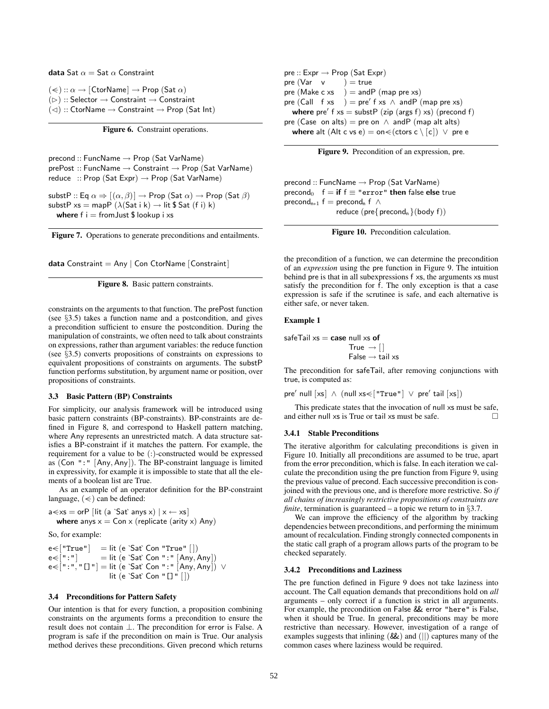data Sat  $\alpha =$  Sat  $\alpha$  Constraint

 $(\leq): \alpha \to [\text{CtorName}] \to \text{Prop (Sat } \alpha)$  $(\triangleright)$  :: Selector  $\rightarrow$  Constraint  $\rightarrow$  Constraint  $(\lhd)$  :: CtorName  $\rightarrow$  Constraint  $\rightarrow$  Prop (Sat Int)

Figure 6. Constraint operations.

precond :: FuncName → Prop (Sat VarName)  $prePost :: FuncName \rightarrow Constraint \rightarrow Prop (Sat VarName)$ reduce :: Prop (Sat Expr)  $\rightarrow$  Prop (Sat VarName)

substP :: Eq  $\alpha \Rightarrow [(\alpha, \beta)] \rightarrow$  Prop (Sat  $\alpha$ )  $\rightarrow$  Prop (Sat  $\beta$ ) substP xs = mapP  $(\lambda$ (Sat i k)  $\rightarrow$  lit \$ Sat (f i) k) where  $f_i = f$ romJust \$ lookup i xs

Figure 7. Operations to generate preconditions and entailments.

data Constraint = Any | Con CtorName  $[Construction]$ 

Figure 8. Basic pattern constraints.

constraints on the arguments to that function. The prePost function (see §3.5) takes a function name and a postcondition, and gives a precondition sufficient to ensure the postcondition. During the manipulation of constraints, we often need to talk about constraints on expressions, rather than argument variables: the reduce function (see §3.5) converts propositions of constraints on expressions to equivalent propositions of constraints on arguments. The substP function performs substitution, by argument name or position, over propositions of constraints.

### 3.3 Basic Pattern (BP) Constraints

For simplicity, our analysis framework will be introduced using basic pattern constraints (BP-constraints). BP-constraints are defined in Figure 8, and correspond to Haskell pattern matching, where Any represents an unrestricted match. A data structure satisfies a BP-constraint if it matches the pattern. For example, the requirement for a value to be (:)-constructed would be expressed as (Con ":" [Any, Any]). The BP-constraint language is limited in expressivity, for example it is impossible to state that all the elements of a boolean list are True.

As an example of an operator definition for the BP-constraint language,  $(\leq)$  can be defined:

 $a \le xs = orP$  [lit (a *`Sat`* anys  $x$ )  $x \leftarrow xs$ ] where anys  $x = Con \times (replicate (arity \times) Any)$ 

So, for example:

 $e \leq$ ["True"]  $=$  lit (e `Sat` Con "True" [])  $e\leq$ [":"] = lit (e `Sat` Con ":" [Any, Any]) e < | ": ", " [] "] = lit (e `Sat` Con ": " |Any, Any|) ∨ lit (e *`*Sat*`* Con "[]" [ ])

#### 3.4 Preconditions for Pattern Safety

Our intention is that for every function, a proposition combining constraints on the arguments forms a precondition to ensure the result does not contain ⊥. The precondition for error is False. A program is safe if the precondition on main is True. Our analysis method derives these preconditions. Given precond which returns  $pre :: E$ xpr  $\rightarrow$  Prop (Sat Expr) pre  $(Var \t v) = true$ pre (Make c  $xs$ ) = andP (map pre  $xs$ ) pre (Call  $f \times s$ ) = pre'  $f \times s$   $\wedge$  and P (map pre  $x s$ ) where  $pre'$  f  $xs =$  substP (zip (args f) xs) (precond f) pre (Case on alts) = pre on  $\land$  andP (map alt alts) where alt (Alt c vs e) = on  $\leq$  (ctors c \ [c])  $\vee$  pre e



precond :: FuncName → Prop (Sat VarName) precond<sub>0</sub>  $f = if f \equiv "error" then false else true$ precond<sub>n+1</sub>  $f =$  precond<sub>n</sub>  $f \wedge$ reduce  $(pref|precond_n)(body f))$ 



the precondition of a function, we can determine the precondition of an *expression* using the pre function in Figure 9. The intuition behind pre is that in all subexpressions f xs, the arguments xs must satisfy the precondition for f. The only exception is that a case expression is safe if the scrutinee is safe, and each alternative is either safe, or never taken.

### Example 1

$$
\begin{aligned}\n\text{safeTail xs} &= \text{case null xs of} \\
\text{True} &\rightarrow [] \\
\text{False} &\rightarrow \text{tail xs}\n\end{aligned}
$$

The precondition for safeTail, after removing conjunctions with true, is computed as:

 $pre'$  null  $[xs] \wedge (null xs \leq ["True"] \vee pre' tail [xs])$ 

This predicate states that the invocation of null xs must be safe, and either null  $\times$ s is True or tail  $\times$ s must be safe.  $\Box$ 

### 3.4.1 Stable Preconditions

The iterative algorithm for calculating preconditions is given in Figure 10. Initially all preconditions are assumed to be true, apart from the error precondition, which is false. In each iteration we calculate the precondition using the pre function from Figure 9, using the previous value of precond. Each successive precondition is conjoined with the previous one, and is therefore more restrictive. So *if all chains of increasingly restrictive propositions of constraints are finite*, termination is guaranteed – a topic we return to in §3.7.

We can improve the efficiency of the algorithm by tracking dependencies between preconditions, and performing the minimum amount of recalculation. Finding strongly connected components in the static call graph of a program allows parts of the program to be checked separately.

# 3.4.2 Preconditions and Laziness

The pre function defined in Figure 9 does not take laziness into account. The Call equation demands that preconditions hold on *all* arguments – only correct if a function is strict in all arguments. For example, the precondition on False && error "here" is False, when it should be True. In general, preconditions may be more restrictive than necessary. However, investigation of a range of examples suggests that inlining (&&) and (||) captures many of the common cases where laziness would be required.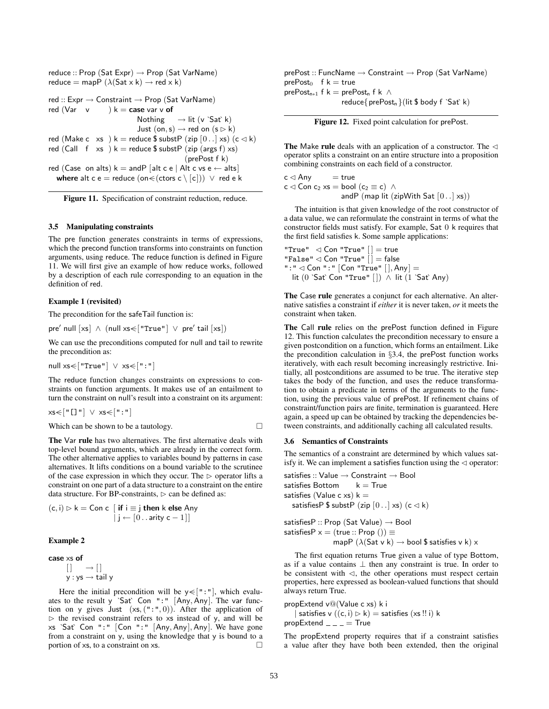reduce :: Prop (Sat Expr)  $\rightarrow$  Prop (Sat VarName) reduce = mapP  $(\lambda$ (Sat x k)  $\rightarrow$  red x k) red :: Expr  $\rightarrow$  Constraint  $\rightarrow$  Prop (Sat VarName) red (Var v )  $k = \text{case}$  var v of Nothing → lit (v *`*Sat*`* k) Just  $(an, s) \rightarrow red$  on  $(s \triangleright k)$ red (Make c xs ) k = reduce  $\frac{1}{2}$  substP (zip  $[0, .]$  xs) (c  $\triangleleft$  k) red (Call f  $xs$ ) k = reduce  $$substP$  (zip (args f) xs) (prePost f k) red (Case on alts)  $k = andP$  [alt c e | Alt c vs e  $\leftarrow$  alts] where alt c e = reduce  $(on \leq (ctors c \setminus [c])) \vee$  red e k

Figure 11. Specification of constraint reduction, reduce.

### 3.5 Manipulating constraints

The pre function generates constraints in terms of expressions, which the precond function transforms into constraints on function arguments, using reduce. The reduce function is defined in Figure 11. We will first give an example of how reduce works, followed by a description of each rule corresponding to an equation in the definition of red.

#### Example 1 (revisited)

The precondition for the safeTail function is:

 $pre'$  null  $[xs] \wedge (null xs \leq ["True"] \vee pre' tail [xs])$ 

We can use the preconditions computed for null and tail to rewrite the precondition as:

null xs $\leq$ ["True"]  $\vee$  xs $\leq$ [":"]

The reduce function changes constraints on expressions to constraints on function arguments. It makes use of an entailment to turn the constraint on null's result into a constraint on its argument:

xs<−["[]"] ∨ xs<−[":"]

Which can be shown to be a tautology. 
$$
\Box
$$

The Var rule has two alternatives. The first alternative deals with top-level bound arguments, which are already in the correct form. The other alternative applies to variables bound by patterns in case alternatives. It lifts conditions on a bound variable to the scrutinee of the case expression in which they occur. The  $\triangleright$  operator lifts a constraint on one part of a data structure to a constraint on the entire data structure. For BP-constraints,  $\triangleright$  can be defined as:

$$
(c, i) \triangleright k = \text{Con } c \text{ [ if } i \equiv j \text{ then } k \text{ else } \text{Any } j \leftarrow [0 \dots \text{arity } c - 1] \text{]}
$$

#### Example 2

**case** 
$$
\times
$$
 **of**\n
$$
\begin{bmatrix} \end{bmatrix} \rightarrow \begin{bmatrix} \end{bmatrix}
$$
\n
$$
\mathsf{y} : \mathsf{y}\mathsf{s} \rightarrow \mathsf{tail} \ \mathsf{y}
$$

Here the initial precondition will be  $y \leq [$ ":"], which evaluates to the result y *`*Sat*`* Con ":" [Any, Any]. The var function on y gives Just  $(xs,(":", 0))$ . After the application of  $\triangleright$  the revised constraint refers to xs instead of y, and will be xs *`*Sat*`* Con ":" [Con ":" [Any,Any],Any]. We have gone from a constraint on y, using the knowledge that y is bound to a portion of xs, to a constraint on xs.  $\Box$ 

 $prePost :: FuncName \rightarrow Constraint \rightarrow Prop (Sat VarName)$ pre $Post_0$  f k = true prePost<sub>n+1</sub> f k = prePost<sub>n</sub> f k  $\wedge$ reduce{prePost<sup>n</sup> }(lit \$ body f *`*Sat*`* k)

Figure 12. Fixed point calculation for prePost.

The Make rule deals with an application of a constructor. The  $\triangleleft$ operator splits a constraint on an entire structure into a proposition combining constraints on each field of a constructor.

 $c \triangleleft Any$  = true  $c \lhd$  Con  $c_2$  xs = bool  $(c_2 \equiv c) \land$ andP (map lit (zipWith Sat  $[0..]$  xs))

The intuition is that given knowledge of the root constructor of a data value, we can reformulate the constraint in terms of what the constructor fields must satisfy. For example, Sat 0 k requires that the first field satisfies k. Some sample applications:

"True"  $\lhd$  Con "True"  $\lceil$  = true "False"  $\lhd$  Con "True"  $|\dot|$  = false ":"  $\lhd$  Con ":" [Con "True" [], Any] = lit (0 *`*Sat*`* Con "True" [ ]) ∧ lit (1 *`*Sat*`* Any)

The Case rule generates a conjunct for each alternative. An alternative satisfies a constraint if *either* it is never taken, *or* it meets the constraint when taken.

The Call rule relies on the prePost function defined in Figure 12. This function calculates the precondition necessary to ensure a given postcondition on a function, which forms an entailment. Like the precondition calculation in §3.4, the prePost function works iteratively, with each result becoming increasingly restrictive. Initially, all postconditions are assumed to be true. The iterative step takes the body of the function, and uses the reduce transformation to obtain a predicate in terms of the arguments to the function, using the previous value of prePost. If refinement chains of constraint/function pairs are finite, termination is guaranteed. Here again, a speed up can be obtained by tracking the dependencies between constraints, and additionally caching all calculated results.

# 3.6 Semantics of Constraints

The semantics of a constraint are determined by which values satisfy it. We can implement a satisfies function using the  $\triangleleft$  operator:

satisfies :: Value  $\rightarrow$  Constraint  $\rightarrow$  Bool satisfies Bottom  $k = True$ satisfies (Value c  $xs$ )  $k =$ satisfiesP  $\$$  substP (zip  $[0..]$  xs) (c  $\lhd$  k)

satisfiesP :: Prop (Sat Value)  $\rightarrow$  Bool satisfiesP  $x = (true::Prop()) \equiv$ mapP  $(\lambda$ (Sat v k)  $\rightarrow$  bool \$ satisfies v k) x

The first equation returns True given a value of type Bottom, as if a value contains  $\perp$  then any constraint is true. In order to be consistent with  $\triangleleft$ , the other operations must respect certain properties, here expressed as boolean-valued functions that should always return True.

propExtend v@(Value c xs) k i

satisfies v  $((c, i) \triangleright k)$  = satisfies (xs !! i) k propExtend  $=$   $=$   $=$  True

The propExtend property requires that if a constraint satisfies a value after they have both been extended, then the original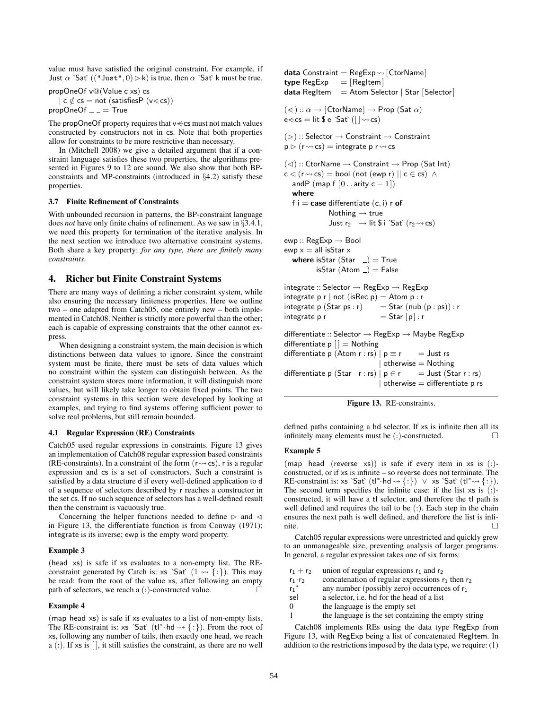value must have satisfied the original constraint. For example, if Just  $\alpha$  *`Sat`* (("Just", 0)  $\triangleright$  k) is true, then  $\alpha$  *`Sat`* k must be true.

```
propOneOf v@(Value c xs) cs
   | c \notin cs = not (satisfies P (v \in cs))propOneOf _{-} _{-} = True
```
The propOneOf property requires that v<cs must not match values constructed by constructors not in cs. Note that both properties allow for constraints to be more restrictive than necessary.

In (Mitchell 2008) we give a detailed argument that if a constraint language satisfies these two properties, the algorithms presented in Figures 9 to 12 are sound. We also show that both BPconstraints and MP-constraints (introduced in §4.2) satisfy these properties.

### 3.7 Finite Refinement of Constraints

With unbounded recursion in patterns, the BP-constraint language does *not* have only finite chains of refinement. As we saw in §3.4.1, we need this property for termination of the iterative analysis. In the next section we introduce two alternative constraint systems. Both share a key property: *for any type, there are finitely many constraints*.

# 4. Richer but Finite Constraint Systems

There are many ways of defining a richer constraint system, while also ensuring the necessary finiteness properties. Here we outline two – one adapted from Catch05, one entirely new – both implemented in Catch08. Neither is strictly more powerful than the other; each is capable of expressing constraints that the other cannot express.

When designing a constraint system, the main decision is which distinctions between data values to ignore. Since the constraint system must be finite, there must be sets of data values which no constraint within the system can distinguish between. As the constraint system stores more information, it will distinguish more values, but will likely take longer to obtain fixed points. The two constraint systems in this section were developed by looking at examples, and trying to find systems offering sufficient power to solve real problems, but still remain bounded.

# 4.1 Regular Expression (RE) Constraints

Catch05 used regular expressions in constraints. Figure 13 gives an implementation of Catch08 regular expression based constraints (RE-constraints). In a constraint of the form  $(r \rightarrow c s)$ , r is a regular expression and cs is a set of constructors. Such a constraint is satisfied by a data structure d if every well-defined application to d of a sequence of selectors described by r reaches a constructor in the set cs. If no such sequence of selectors has a well-defined result then the constraint is vacuously true.

Concerning the helper functions needed to define  $\triangleright$  and  $\triangleleft$ in Figure 13, the differentiate function is from Conway (1971); integrate is its inverse; ewp is the empty word property.

### Example 3

(head xs) is safe if xs evaluates to a non-empty list. The REconstraint generated by Catch is:  $xs$  **`Sat**`  $(1 \rightsquigarrow \{:\})$ . This may be read: from the root of the value xs, after following an empty path of selectors, we reach a  $(:)$ -constructed value.  $\Box$ 

### Example 4

(map head xs) is safe if xs evaluates to a list of non-empty lists. The RE-constraint is:  $xs$  `Sat` (t<sup>\*</sup> · hd  $\rightsquigarrow$  {: }). From the root of xs, following any number of tails, then exactly one head, we reach a  $(:).$  If  $x\text{s}$  is  $[$ ], it still satisfies the constraint, as there are no well

data Constraint =  $\text{RegExp} \rightsquigarrow [\text{CtorName}]$ type  $RegExp = [RegItem]$  $data$  RegItem = Atom Selector | Star [Selector]  $(\lessdot) :: \alpha \rightarrow [\mathsf{CtorName}] \rightarrow \mathsf{Prop}~(\mathsf{Sat}~\alpha)$  $e \leq c s = \text{lit } $e \text{ 'Sat' } ([\neg \rightarrow cs)]$  $(\triangleright)$  :: Selector  $\rightarrow$  Constraint  $\rightarrow$  Constraint  $p \triangleright (r \rightsquigarrow cs) =$ integrate p  $r \rightsquigarrow cs$  $(\lhd)$  :: CtorName  $\rightarrow$  Constraint  $\rightarrow$  Prop (Sat Int)  $c \triangleleft (r \rightsquigarrow cs) =$  bool (not (ewp r)  $|| c \in cs) \land$ andP (map  $f [0..$  arity  $c - 1]$ ) where f i = case differentiate  $(c, i)$  r of Nothing  $\rightarrow$  true Just  $r_2 \rightarrow \text{lit } $i \text{ 'Sat } (r_2 \rightarrow \text{cs})$ ewp :: RegExp → Bool  $ewp x = all isStar x$ where isStar  $(Star_+)$  = True isStar (Atom  $_{-}$ ) = False  $integrate :: Selector \rightarrow RegExp \rightarrow RegExp$ integrate p r | not (isRec p) = Atom p : r integrate p  $(Star ps : r)$  = Star  $(nub (p : ps)) : r$ integrate p r  $=$  Star  $[p]$ : r differentiate :: Selector  $\rightarrow$  RegExp  $\rightarrow$  Maybe RegExp differentiate  $p \nvert =$  Nothing differentiate p (Atom r : rs)  $|p \equiv r = J$ ust rs  $otherwise =$  Nothing differentiate p (Star  $r : rs$ ) | p  $\in r$  = Just (Star r : rs)  $\vert$  otherwise  $=$  differentiate p rs

| Figure 13. RE-constraints. |  |
|----------------------------|--|
|----------------------------|--|

defined paths containing a hd selector. If xs is infinite then all its infinitely many elements must be  $(:)$ -constructed.  $\Box$ 

# Example 5

(map head (reverse  $xs$ )) is safe if every item in  $xs$  is (:)constructed, or if xs is infinite – so reverse does not terminate. The RE-constraint is: xs *`Sat*` (tl<sup>\*</sup>·hd  $\rightsquigarrow$  {:})  $\vee$  xs *`Sat*` (tl<sup>\*</sup>  $\rightsquigarrow$  {:}). The second term specifies the infinite case: if the list xs is (:) constructed, it will have a tl selector, and therefore the tl path is well defined and requires the tail to be  $($ .). Each step in the chain ensures the next path is well defined, and therefore the list is infinite.  $\Box$ 

Catch05 regular expressions were unrestricted and quickly grew to an unmanageable size, preventing analysis of larger programs. In general, a regular expression takes one of six forms:

| $r_1 + r_2$        | union of regular expressions $r_1$ and $r_2$          |
|--------------------|-------------------------------------------------------|
| $r_1 \cdot r_2$    | concatenation of regular expressions $r_1$ then $r_2$ |
| $r_1$ <sup>*</sup> | any number (possibly zero) occurrences of $r_1$       |
| sel                | a selector, <i>i.e.</i> hd for the head of a list     |
| 0                  | the language is the empty set                         |
|                    | the language is the set containing the empty string   |
|                    |                                                       |

Catch08 implements REs using the data type RegExp from Figure 13, with RegExp being a list of concatenated RegItem. In addition to the restrictions imposed by the data type, we require: (1)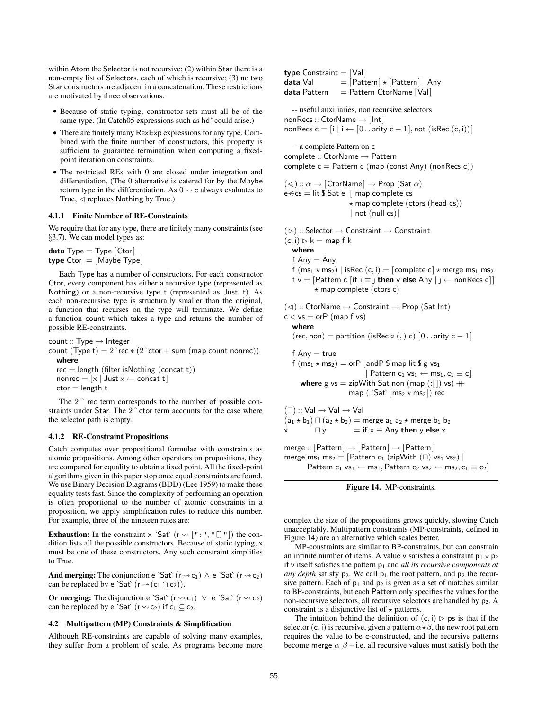within Atom the Selector is not recursive; (2) within Star there is a non-empty list of Selectors, each of which is recursive; (3) no two Star constructors are adjacent in a concatenation. These restrictions are motivated by three observations:

- Because of static typing, constructor-sets must all be of the same type. (In Catch05 expressions such as hd<sup>\*</sup> could arise.)
- There are finitely many RexExp expressions for any type. Combined with the finite number of constructors, this property is sufficient to guarantee termination when computing a fixedpoint iteration on constraints.
- The restricted REs with 0 are closed under integration and differentiation. (The 0 alternative is catered for by the Maybe return type in the differentiation. As  $0 \rightarrow c$  always evaluates to True,  $\triangleleft$  replaces Nothing by True.)

# 4.1.1 Finite Number of RE-Constraints

We require that for any type, there are finitely many constraints (see §3.7). We can model types as:

 $data$  Type = Type  $[Ctor]$ type  $Ctor = [$ Maybe Type $]$ 

Each Type has a number of constructors. For each constructor Ctor, every component has either a recursive type (represented as Nothing) or a non-recursive type t (represented as Just t). As each non-recursive type is structurally smaller than the original, a function that recurses on the type will terminate. We define a function count which takes a type and returns the number of possible RE-constraints.

count :: Type → Integer count  $(Type t) = 2^{\degree}$ rec  $*(2^{\degree}ctor + sum (map count nonrec))$ where rec = length (filter isNothing (concat t))  $\text{nonrec} = [x \mid \text{Just } x \leftarrow \text{concat } t]$  $ctor = length t$ 

The 2  $\hat{ }$  rec term corresponds to the number of possible constraints under Star. The 2<sup> $\degree$ </sup> ctor term accounts for the case where the selector path is empty.

### 4.1.2 RE-Constraint Propositions

Catch computes over propositional formulae with constraints as atomic propositions. Among other operators on propositions, they are compared for equality to obtain a fixed point. All the fixed-point algorithms given in this paper stop once equal constraints are found. We use Binary Decision Diagrams (BDD) (Lee 1959) to make these equality tests fast. Since the complexity of performing an operation is often proportional to the number of atomic constraints in a proposition, we apply simplification rules to reduce this number. For example, three of the nineteen rules are:

**Exhaustion:** In the constraint  $\times$  `Sat` ( $r \rightsquigarrow$  [":", "[]"]) the condition lists all the possible constructors. Because of static typing, x must be one of these constructors. Any such constraint simplifies to True.

And merging: The conjunction e *`Sat*`  $(r \rightarrow c_1) \land e$  *`Sat*`  $(r \rightarrow c_2)$ can be replaced by e *`Sat*` ( $r \rightsquigarrow (c_1 \cap c_2)$ ).

Or merging: The disjunction e *`Sat`*  $(r \rightsquigarrow c_1) \vee e$  *`Sat`*  $(r \rightsquigarrow c_2)$ can be replaced by e *`Sat`* ( $r \rightsquigarrow c_2$ ) if  $c_1 \subset c_2$ .

### 4.2 Multipattern (MP) Constraints & Simplification

Although RE-constraints are capable of solving many examples, they suffer from a problem of scale. As programs become more type Constraint  $=$  [Val] data Val  $=$   $[$ Pattern $] \star$   $[$ Pattern $]$   $|$  Any  $data$  Pattern = Pattern CtorName [Val]

-- useful auxiliaries, non recursive selectors  $nonRecs :: CtorName \rightarrow [Int]$ nonRecs c =  $[i | i$  ←  $[0 \dots$  arity c – 1, not (isRec  $(c, i)$ )]

-- a complete Pattern on c complete :: CtorName → Pattern complete  $c =$  Pattern  $c$  (map (const Any) (nonRecs  $c$ ))

 $(\leq): \alpha \to [\text{CorName}] \to \text{Prop (Sat } \alpha)$  $e \leq c s = \text{lit }$ \$ Sat e  $\lceil$  map complete cs  $\star$  map complete (ctors (head cs)) | not (null cs)]

\n- (
$$
\triangleright
$$
) :: Selector → Constant → Constant
\n- ( $c, i$ )  $\triangleright$  k = map f k
\n- where\n
	\n- f Any = Any
	\n- f (ms<sub>1</sub> \* ms<sub>2</sub>) | isRec (c, i) = [complete c] \* merge ms<sub>1</sub> ms<sub>2</sub>
	\n- f v = [Pattern c [if i ≡ j then v else Any | j ← nonRecs c]]
	\n- ∗ map complete (ctors c)
	\n\n
\n

 $(\lhd)$  :: CtorName  $\rightarrow$  Constraint  $\rightarrow$  Prop (Sat Int)  $c \le v s = \text{or} P$  (map f vs)

# where

(rec, non) = partition (isRec  $\circ$  (, ) c)  $[0 \dots$  arity  $c - 1]$ 

 $f$  Any  $=$  true f  $(ms_1 \star ms_2) =$  orP [andP \$ map lit \$ g vs<sub>1</sub> | Pattern  $c_1$  vs<sub>1</sub>  $\leftarrow$  ms<sub>1</sub>,  $c_1 \equiv c$ ] where g vs = zipWith Sat non (map  $(:[])$  vs)  $+$ map  $('Sat' [ms<sub>2</sub>  $\star$  ms<sub>2</sub>]) rec$ 

 $(\square) :: \text{Val} \rightarrow \text{Val} \rightarrow \text{Val}$  $(a_1 * b_1) \sqcap (a_2 * b_2) =$  merge  $a_1 a_2 *$  merge  $b_1 b_2$  $x \qquad \Box y \qquad = \text{if } x \equiv \text{Any then } y \text{ else } x$ 

 $merge :: [Pattern] \rightarrow [Pattern] \rightarrow [Pattern]$ merge ms<sub>1</sub> ms<sub>2</sub> = [Pattern c<sub>1</sub> (zipWith  $(\square)$  vs<sub>1</sub> vs<sub>2</sub>) | Pattern  $c_1$  vs<sub>1</sub> ← ms<sub>1</sub>, Pattern  $c_2$  vs<sub>2</sub> ← ms<sub>2</sub>,  $c_1 \equiv c_2$ 

Figure 14. MP-constraints.

complex the size of the propositions grows quickly, slowing Catch unacceptably. Multipattern constraints (MP-constraints, defined in Figure 14) are an alternative which scales better.

MP-constraints are similar to BP-constraints, but can constrain an infinite number of items. A value v satisfies a constraint  $p_1 \star p_2$ if v itself satisfies the pattern  $p_1$  and *all its recursive components at any depth* satisfy  $p_2$ . We call  $p_1$  the root pattern, and  $p_2$  the recursive pattern. Each of  $p_1$  and  $p_2$  is given as a set of matches similar to BP-constraints, but each Pattern only specifies the values for the non-recursive selectors, all recursive selectors are handled by  $p_2$ . A constraint is a disjunctive list of  $\star$  patterns.

The intuition behind the definition of  $(c, i)$   $\triangleright$  ps is that if the selector (c, i) is recursive, given a pattern  $\alpha \star \beta$ , the new root pattern requires the value to be c-constructed, and the recursive patterns become merge  $\alpha \beta$  – i.e. all recursive values must satisfy both the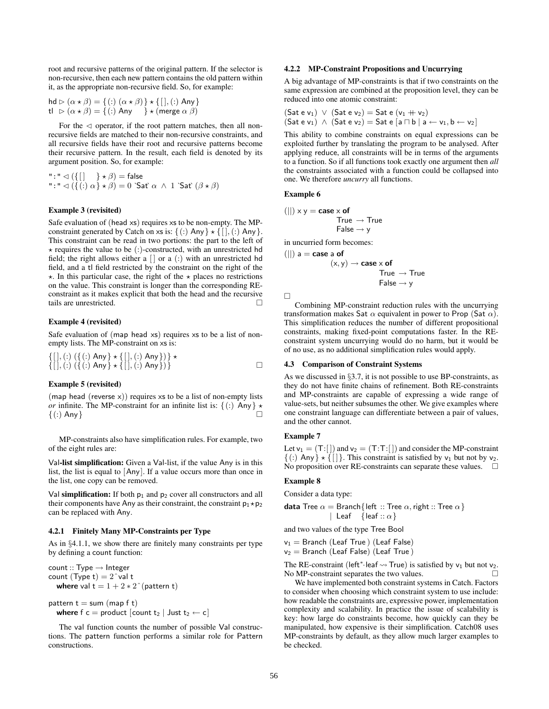root and recursive patterns of the original pattern. If the selector is non-recursive, then each new pattern contains the old pattern within it, as the appropriate non-recursive field. So, for example:

$$
\mathsf{hd} \triangleright (\alpha \star \beta) = \{(:)\ (\alpha \star \beta)\} \star \{[],(:)\ \mathsf{Any}\}\
$$
  

$$
\mathsf{tl} \triangleright (\alpha \star \beta) = \{(:)\ \mathsf{Any}\ \rightarrow \mathsf{(merge}\ \alpha\ \beta)
$$

For the  $\triangleleft$  operator, if the root pattern matches, then all nonrecursive fields are matched to their non-recursive constraints, and all recursive fields have their root and recursive patterns become their recursive pattern. In the result, each field is denoted by its argument position. So, for example:

": "
$$
\lhd
$$
({[[ ] }  $\star \beta$ ) = false  
": " $\lhd$ ({(:)  $\alpha$ }  $\star \beta$ ) = 0 'Sat'  $\alpha \wedge 1$  'Sat' ( $\beta \star \beta$ )

### Example 3 (revisited)

Safe evaluation of (head xs) requires xs to be non-empty. The MPconstraint generated by Catch on xs is: { $(:)$  Any}  $\star$  { $[$ ],  $(:)$  Any}. This constraint can be read in two portions: the part to the left of  $\star$  requires the value to be (:)-constructed, with an unrestricted hd field; the right allows either a  $\left[ \ \right]$  or a  $\left( \cdot \right)$  with an unrestricted hd field, and a tl field restricted by the constraint on the right of the  $\star$ . In this particular case, the right of the  $\star$  places no restrictions on the value. This constraint is longer than the corresponding REconstraint as it makes explicit that both the head and the recursive tails are unrestricted.  $\Box$ 

### Example 4 (revisited)

Safe evaluation of (map head xs) requires xs to be a list of nonempty lists. The MP-constraint on xs is:

$$
\{[],(:) (\{(:) \text{ Any}\} \star \{[],(:) \text{ Any}\})\} \star {[],(:) (\{((:) \text{ Any}\} \star \{[],(:) \text{ Any}\})}
$$

#### Example 5 (revisited)

(map head (reverse  $x$ )) requires xs to be a list of non-empty lists *or* infinite. The MP-constraint for an infinite list is:  $\{(.)\; Any\} \star$  $\{(.) \; \text{Any} \}$ 

MP-constraints also have simplification rules. For example, two of the eight rules are:

Val-list simplification: Given a Val-list, if the value Any is in this list, the list is equal to [Any]. If a value occurs more than once in the list, one copy can be removed.

Val simplification: If both  $p_1$  and  $p_2$  cover all constructors and all their components have Any as their constraint, the constraint  $p_1 \star p_2$ can be replaced with Any.

### 4.2.1 Finitely Many MP-Constraints per Type

As in §4.1.1, we show there are finitely many constraints per type by defining a count function:

```
count :: Type \rightarrow Integer
count (Type t) = 2 val t
   where val t = 1 + 2 * 2<sup>\hat{ }</sup> (pattern t)
```

```
pattern t = sum (map f t)where f c = product [count t_2 | Just t_2 \leftarrow c]
```
The val function counts the number of possible Val constructions. The pattern function performs a similar role for Pattern constructions.

## 4.2.2 MP-Constraint Propositions and Uncurrying

A big advantage of MP-constraints is that if two constraints on the same expression are combined at the proposition level, they can be reduced into one atomic constraint:

$$
\begin{array}{l}(\mathsf{Sat}\; \mathsf{e}\; \mathsf{v}_1) \;\vee\; (\mathsf{Sat}\; \mathsf{e}\; \mathsf{v}_2) = \mathsf{Sat}\; \mathsf{e}\; (\mathsf{v}_1+\mathsf{v}_2) \\(\mathsf{Sat}\; \mathsf{e}\; \mathsf{v}_1) \;\wedge\; (\mathsf{Sat}\; \mathsf{e}\; \mathsf{v}_2) = \mathsf{Sat}\; \mathsf{e}\; [\mathsf{a}\sqcap \mathsf{b}\; |\; \mathsf{a}\leftarrow \mathsf{v}_1, \mathsf{b}\leftarrow \mathsf{v}_2]\end{array}
$$

This ability to combine constraints on equal expressions can be exploited further by translating the program to be analysed. After applying reduce, all constraints will be in terms of the arguments to a function. So if all functions took exactly one argument then *all* the constraints associated with a function could be collapsed into one. We therefore *uncurry* all functions.

### Example 6

$$
(||) \times y = \text{case} \times \text{of}
$$
  
True  $\rightarrow$  True  
False  $\rightarrow$  y

in uncurried form becomes:

(||) a = case a of (x, y) → case x of True → True False → y



Combining MP-constraint reduction rules with the uncurrying transformation makes Sat  $\alpha$  equivalent in power to Prop (Sat  $\alpha$ ). This simplification reduces the number of different propositional constraints, making fixed-point computations faster. In the REconstraint system uncurrying would do no harm, but it would be of no use, as no additional simplification rules would apply.

### 4.3 Comparison of Constraint Systems

As we discussed in §3.7, it is not possible to use BP-constraints, as they do not have finite chains of refinement. Both RE-constraints and MP-constraints are capable of expressing a wide range of value-sets, but neither subsumes the other. We give examples where one constraint language can differentiate between a pair of values, and the other cannot.

### Example 7

Let  $v_1 = (T:||)$  and  $v_2 = (T:T:||)$  and consider the MP-constraint  $\{(.)$  Any }  $\star$  {[] }. This constraint is satisfied by  $v_1$  but not by  $v_2$ . No proposition over RE-constraints can separate these values.  $\Box$ 

### Example 8

Consider a data type:

**data** Tree 
$$
\alpha
$$
 = Branch{left :: Tree  $\alpha$ , right :: Tree  $\alpha$ }  
 | Least { leaf ::  $\alpha$ }

and two values of the type Tree Bool

 $v_1 =$  Branch (Leaf True) (Leaf False)  $v_2 =$  Branch (Leaf False) (Leaf True)

The RE-constraint (left<sup>\*</sup>·leaf  $\rightsquigarrow$  True) is satisfied by  $v_1$  but not  $v_2$ . No MP-constraint separates the two values.  $\Box$ 

We have implemented both constraint systems in Catch. Factors to consider when choosing which constraint system to use include: how readable the constraints are, expressive power, implementation complexity and scalability. In practice the issue of scalability is key: how large do constraints become, how quickly can they be manipulated, how expensive is their simplification. Catch08 uses MP-constraints by default, as they allow much larger examples to be checked.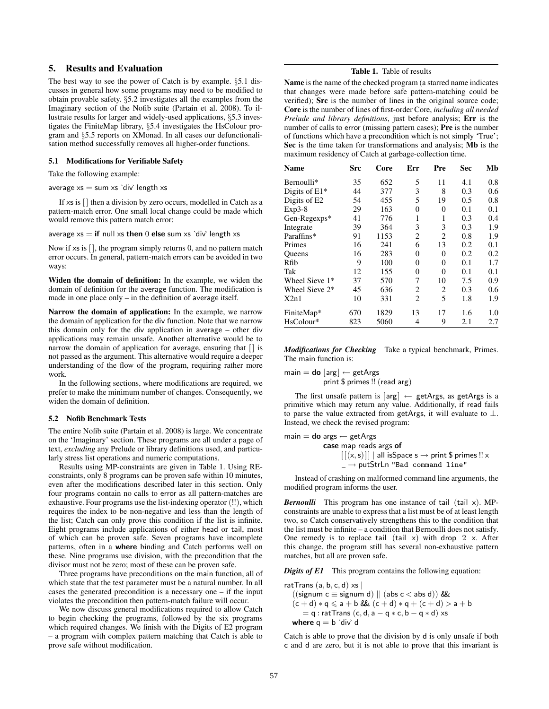# 5. Results and Evaluation

The best way to see the power of Catch is by example. §5.1 discusses in general how some programs may need to be modified to obtain provable safety. §5.2 investigates all the examples from the Imaginary section of the Nofib suite (Partain et al. 2008). To illustrate results for larger and widely-used applications, §5.3 investigates the FiniteMap library, §5.4 investigates the HsColour program and §5.5 reports on XMonad. In all cases our defunctionalisation method successfully removes all higher-order functions.

# 5.1 Modifications for Verifiable Safety

Take the following example:

average xs = sum xs *`*div*`* length xs

If  $x$ s is  $\vert$  then a division by zero occurs, modelled in Catch as a pattern-match error. One small local change could be made which would remove this pattern match error:

average  $xs = if$  null xs then 0 else sum xs  $\hat{div}$  length xs

Now if xs is  $\vert \vert$ , the program simply returns 0, and no pattern match error occurs. In general, pattern-match errors can be avoided in two ways:

Widen the domain of definition: In the example, we widen the domain of definition for the average function. The modification is made in one place only – in the definition of average itself.

Narrow the domain of application: In the example, we narrow the domain of application for the div function. Note that we narrow this domain only for the div application in average – other div applications may remain unsafe. Another alternative would be to narrow the domain of application for average, ensuring that  $\left[ \cdot \right]$  is not passed as the argument. This alternative would require a deeper understanding of the flow of the program, requiring rather more work.

In the following sections, where modifications are required, we prefer to make the minimum number of changes. Consequently, we widen the domain of definition.

# 5.2 Nofib Benchmark Tests

The entire Nofib suite (Partain et al. 2008) is large. We concentrate on the 'Imaginary' section. These programs are all under a page of text, *excluding* any Prelude or library definitions used, and particularly stress list operations and numeric computations.

Results using MP-constraints are given in Table 1. Using REconstraints, only 8 programs can be proven safe within 10 minutes, even after the modifications described later in this section. Only four programs contain no calls to error as all pattern-matches are exhaustive. Four programs use the list-indexing operator (!!), which requires the index to be non-negative and less than the length of the list; Catch can only prove this condition if the list is infinite. Eight programs include applications of either head or tail, most of which can be proven safe. Seven programs have incomplete patterns, often in a where binding and Catch performs well on these. Nine programs use division, with the precondition that the divisor must not be zero; most of these can be proven safe.

Three programs have preconditions on the main function, all of which state that the test parameter must be a natural number. In all cases the generated precondition is a necessary one – if the input violates the precondition then pattern-match failure will occur.

We now discuss general modifications required to allow Catch to begin checking the programs, followed by the six programs which required changes. We finish with the Digits of E2 program – a program with complex pattern matching that Catch is able to prove safe without modification.

# Table 1. Table of results

Name is the name of the checked program (a starred name indicates that changes were made before safe pattern-matching could be verified); Src is the number of lines in the original source code; Core is the number of lines of first-order Core, *including all needed Prelude and library definitions*, just before analysis; Err is the number of calls to error (missing pattern cases); Pre is the number of functions which have a precondition which is not simply 'True'; Sec is the time taken for transformations and analysis; Mb is the maximum residency of Catch at garbage-collection time.

| Name            | Src | Core | Err | Pre            | <b>Sec</b> | Mb  |
|-----------------|-----|------|-----|----------------|------------|-----|
| Bernoulli*      | 35  | 652  | 5   | 11             | 4.1        | 0.8 |
| Digits of $E1*$ | 44  | 377  | 3   | 8              | 0.3        | 0.6 |
| Digits of E2    | 54  | 455  | 5   | 19             | 0.5        | 0.8 |
| $Exp3-8$        | 29  | 163  | 0   | $\theta$       | 0.1        | 0.1 |
| Gen-Regexps*    | 41  | 776  | 1   | 1              | 0.3        | 0.4 |
| Integrate       | 39  | 364  | 3   | 3              | 0.3        | 1.9 |
| Paraffins*      | 91  | 1153 | 2   | $\overline{c}$ | 0.8        | 1.9 |
| Primes          | 16  | 241  | 6   | 13             | 0.2        | 0.1 |
| Queens          | 16  | 283  | 0   | $\theta$       | 0.2        | 0.2 |
| Rfib            | 9   | 100  | 0   | 0              | 0.1        | 1.7 |
| Tak             | 12  | 155  | 0   | 0              | 0.1        | 0.1 |
| Wheel Sieve 1*  | 37  | 570  | 7   | 10             | 7.5        | 0.9 |
| Wheel Sieve 2*  | 45  | 636  | 2   | 2              | 0.3        | 0.6 |
| X2n1            | 10  | 331  | 2   | 5              | 1.8        | 1.9 |
| FiniteMap*      | 670 | 1829 | 13  | 17             | 1.6        | 1.0 |
| HsColour*       | 823 | 5060 | 4   | 9              | 2.1        | 2.7 |

*Modifications for Checking* Take a typical benchmark, Primes. The main function is:

 $main = do [arg] \leftarrow getArgs$ print \$ primes !! (read arg)

The first unsafe pattern is  $[\text{arg}] \leftarrow \text{getArgs},$  as getArgs is a primitive which may return any value. Additionally, if read fails to parse the value extracted from getArgs, it will evaluate to ⊥. Instead, we check the revised program:

main =  $do$  args  $\leftarrow$  getArgs case map reads args of  $[[(x, s)]]$  all is Space s  $\rightarrow$  print \$ primes !! x  $\overline{\phantom{a}}$   $\rightarrow$  putStrLn "Bad command line"

Instead of crashing on malformed command line arguments, the modified program informs the user.

*Bernoulli* This program has one instance of tail (tail x). MPconstraints are unable to express that a list must be of at least length two, so Catch conservatively strengthens this to the condition that the list must be infinite – a condition that Bernoulli does not satisfy. One remedy is to replace tail  $(tail x)$  with drop 2 x. After this change, the program still has several non-exhaustive pattern matches, but all are proven safe.

*Digits of E1* This program contains the following equation:

rat $Trans(a, b, c, d)$  xs  $|$  $((sigma c \equiv signum d) || (abs c < abs d))$  &&  $(c + d) * q \leq a + b$  &  $(c + d) * q + (c + d) > a + b$  $=$  q : ratTrans  $(c, d, a - q * c, b - q * d)$  xs where  $q = b$  *`div`* d

Catch is able to prove that the division by d is only unsafe if both c and d are zero, but it is not able to prove that this invariant is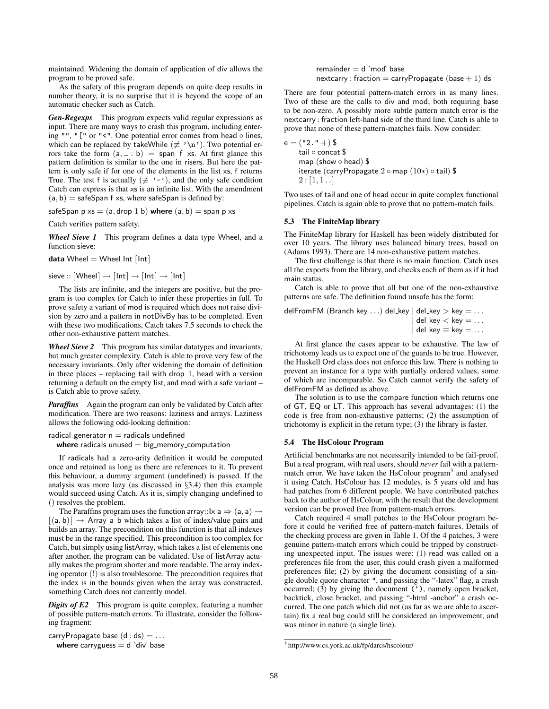maintained. Widening the domain of application of div allows the program to be proved safe.

As the safety of this program depends on quite deep results in number theory, it is no surprise that it is beyond the scope of an automatic checker such as Catch.

*Gen-Regexps* This program expects valid regular expressions as input. There are many ways to crash this program, including entering "", "[" or "<". One potential error comes from head ◦ lines, which can be replaced by takeWhile ( $\neq' \n\in'$ ). Two potential errors take the form  $(a, \_ : b) =$  span f xs. At first glance this pattern definition is similar to the one in risers. But here the pattern is only safe if for one of the elements in the list xs, f returns True. The test f is actually ( $\neq$  '-'), and the only safe condition Catch can express is that xs is an infinite list. With the amendment  $(a, b)$  = safeSpan f xs, where safeSpan is defined by:

safeSpan p  $xs = (a, drop 1 b)$  where  $(a, b) =$ span p xs

Catch verifies pattern safety.

*Wheel Sieve 1* This program defines a data type Wheel, and a function sieve:

 $data$  Wheel = Wheel Int [Int]

sieve ::  $[Where] \rightarrow [Int] \rightarrow [Int] \rightarrow [Int]$ 

The lists are infinite, and the integers are positive, but the program is too complex for Catch to infer these properties in full. To prove safety a variant of mod is required which does not raise division by zero and a pattern in notDivBy has to be completed. Even with these two modifications, Catch takes 7.5 seconds to check the other non-exhaustive pattern matches.

*Wheel Sieve 2* This program has similar datatypes and invariants, but much greater complexity. Catch is able to prove very few of the necessary invariants. Only after widening the domain of definition in three places – replacing tail with drop 1, head with a version returning a default on the empty list, and mod with a safe variant – is Catch able to prove safety.

*Paraffins* Again the program can only be validated by Catch after modification. There are two reasons: laziness and arrays. Laziness allows the following odd-looking definition:

radical generator  $n =$  radicals undefined

where radicals unused  $=$  big\_memory\_computation

If radicals had a zero-arity definition it would be computed once and retained as long as there are references to it. To prevent this behaviour, a dummy argument (undefined) is passed. If the analysis was more lazy (as discussed in §3.4) then this example would succeed using Catch. As it is, simply changing undefined to () resolves the problem.

The Paraffins program uses the function array:: $1x a \Rightarrow (a, a) \rightarrow$  $[(a, b)] \rightarrow$  Array a b which takes a list of index/value pairs and builds an array. The precondition on this function is that all indexes must be in the range specified. This precondition is too complex for Catch, but simply using listArray, which takes a list of elements one after another, the program can be validated. Use of listArray actually makes the program shorter and more readable. The array indexing operator (!) is also troublesome. The precondition requires that the index is in the bounds given when the array was constructed, something Catch does not currently model.

*Digits of E2* This program is quite complex, featuring a number of possible pattern-match errors. To illustrate, consider the following fragment:

carryPropagate base  $(d : ds) = ...$ where carryguess = d *`*div*`* base

$$
remainder = d \mod base
$$
\n
$$
nextcarry : fraction = carryPropagate (base + 1) ds
$$

There are four potential pattern-match errors in as many lines. Two of these are the calls to div and mod, both requiring base to be non-zero. A possibly more subtle pattern match error is the nextcarry : fraction left-hand side of the third line. Catch is able to prove that none of these pattern-matches fails. Now consider:

 $e = ("2." +)$ \$ tail ◦ concat \$ map (show  $\circ$  head) \$ iterate (carryPropagate  $2 \circ$  map  $(10*) \circ$  tail) \$  $2: [1, 1..]$ 

Two uses of tail and one of head occur in quite complex functional pipelines. Catch is again able to prove that no pattern-match fails.

### 5.3 The FiniteMap library

The FiniteMap library for Haskell has been widely distributed for over 10 years. The library uses balanced binary trees, based on (Adams 1993). There are 14 non-exhaustive pattern matches.

The first challenge is that there is no main function. Catch uses all the exports from the library, and checks each of them as if it had main status.

Catch is able to prove that all but one of the non-exhaustive patterns are safe. The definition found unsafe has the form:

| delFromFM (Branch key) del_key   del_key > key = |                                         |
|--------------------------------------------------|-----------------------------------------|
|                                                  | $\vert$ del_key $\lt$ key $= \ldots$    |
|                                                  | $\vert$ del_key $\equiv$ key $= \ldots$ |

At first glance the cases appear to be exhaustive. The law of trichotomy leads us to expect one of the guards to be true. However, the Haskell Ord class does not enforce this law. There is nothing to prevent an instance for a type with partially ordered values, some of which are incomparable. So Catch cannot verify the safety of delFromFM as defined as above.

The solution is to use the compare function which returns one of GT, EQ or LT. This approach has several advantages: (1) the code is free from non-exhaustive patterns; (2) the assumption of trichotomy is explicit in the return type; (3) the library is faster.

### 5.4 The HsColour Program

Artificial benchmarks are not necessarily intended to be fail-proof. But a real program, with real users, should *never* fail with a patternmatch error. We have taken the HsColour program<sup>3</sup> and analysed it using Catch. HsColour has 12 modules, is 5 years old and has had patches from 6 different people. We have contributed patches back to the author of HsColour, with the result that the development version can be proved free from pattern-match errors.

Catch required 4 small patches to the HsColour program before it could be verified free of pattern-match failures. Details of the checking process are given in Table 1. Of the 4 patches, 3 were genuine pattern-match errors which could be tripped by constructing unexpected input. The issues were: (1) read was called on a preferences file from the user, this could crash given a malformed preferences file; (2) by giving the document consisting of a single double quote character ", and passing the "-latex" flag, a crash occurred;  $(3)$  by giving the document  $(3)$ , namely open bracket, backtick, close bracket, and passing "-html -anchor" a crash occurred. The one patch which did not (as far as we are able to ascertain) fix a real bug could still be considered an improvement, and was minor in nature (a single line).

<sup>3</sup> http://www.cs.york.ac.uk/fp/darcs/hscolour/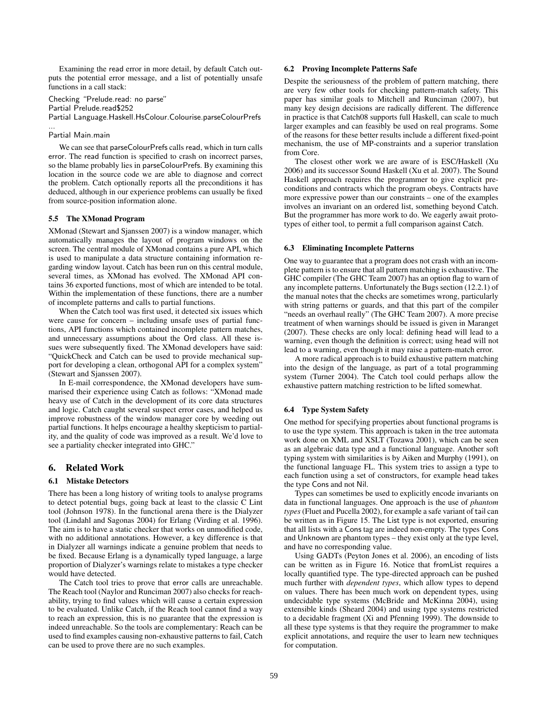Examining the read error in more detail, by default Catch outputs the potential error message, and a list of potentially unsafe functions in a call stack:

Checking "Prelude.read: no parse" Partial Prelude.read\$252 Partial Language.Haskell.HsColour.Colourise.parseColourPrefs

### Partial Main.main

...

We can see that parseColourPrefs calls read, which in turn calls error. The read function is specified to crash on incorrect parses, so the blame probably lies in parseColourPrefs. By examining this location in the source code we are able to diagnose and correct the problem. Catch optionally reports all the preconditions it has deduced, although in our experience problems can usually be fixed from source-position information alone.

### 5.5 The XMonad Program

XMonad (Stewart and Sjanssen 2007) is a window manager, which automatically manages the layout of program windows on the screen. The central module of XMonad contains a pure API, which is used to manipulate a data structure containing information regarding window layout. Catch has been run on this central module, several times, as XMonad has evolved. The XMonad API contains 36 exported functions, most of which are intended to be total. Within the implementation of these functions, there are a number of incomplete patterns and calls to partial functions.

When the Catch tool was first used, it detected six issues which were cause for concern – including unsafe uses of partial functions, API functions which contained incomplete pattern matches, and unnecessary assumptions about the Ord class. All these issues were subsequently fixed. The XMonad developers have said: "QuickCheck and Catch can be used to provide mechanical support for developing a clean, orthogonal API for a complex system" (Stewart and Sjanssen 2007).

In E-mail correspondence, the XMonad developers have summarised their experience using Catch as follows: "XMonad made heavy use of Catch in the development of its core data structures and logic. Catch caught several suspect error cases, and helped us improve robustness of the window manager core by weeding out partial functions. It helps encourage a healthy skepticism to partiality, and the quality of code was improved as a result. We'd love to see a partiality checker integrated into GHC."

# 6. Related Work

### 6.1 Mistake Detectors

There has been a long history of writing tools to analyse programs to detect potential bugs, going back at least to the classic C Lint tool (Johnson 1978). In the functional arena there is the Dialyzer tool (Lindahl and Sagonas 2004) for Erlang (Virding et al. 1996). The aim is to have a static checker that works on unmodified code, with no additional annotations. However, a key difference is that in Dialyzer all warnings indicate a genuine problem that needs to be fixed. Because Erlang is a dynamically typed language, a large proportion of Dialyzer's warnings relate to mistakes a type checker would have detected.

The Catch tool tries to prove that error calls are unreachable. The Reach tool (Naylor and Runciman 2007) also checks for reachability, trying to find values which will cause a certain expression to be evaluated. Unlike Catch, if the Reach tool cannot find a way to reach an expression, this is no guarantee that the expression is indeed unreachable. So the tools are complementary: Reach can be used to find examples causing non-exhaustive patterns to fail, Catch can be used to prove there are no such examples.

# 6.2 Proving Incomplete Patterns Safe

Despite the seriousness of the problem of pattern matching, there are very few other tools for checking pattern-match safety. This paper has similar goals to Mitchell and Runciman (2007), but many key design decisions are radically different. The difference in practice is that Catch08 supports full Haskell, can scale to much larger examples and can feasibly be used on real programs. Some of the reasons for these better results include a different fixed-point mechanism, the use of MP-constraints and a superior translation from Core.

The closest other work we are aware of is ESC/Haskell (Xu 2006) and its successor Sound Haskell (Xu et al. 2007). The Sound Haskell approach requires the programmer to give explicit preconditions and contracts which the program obeys. Contracts have more expressive power than our constraints – one of the examples involves an invariant on an ordered list, something beyond Catch. But the programmer has more work to do. We eagerly await prototypes of either tool, to permit a full comparison against Catch.

### 6.3 Eliminating Incomplete Patterns

One way to guarantee that a program does not crash with an incomplete pattern is to ensure that all pattern matching is exhaustive. The GHC compiler (The GHC Team 2007) has an option flag to warn of any incomplete patterns. Unfortunately the Bugs section (12.2.1) of the manual notes that the checks are sometimes wrong, particularly with string patterns or guards, and that this part of the compiler "needs an overhaul really" (The GHC Team 2007). A more precise treatment of when warnings should be issued is given in Maranget (2007). These checks are only local: defining head will lead to a warning, even though the definition is correct; using head will not lead to a warning, even though it may raise a pattern-match error.

A more radical approach is to build exhaustive pattern matching into the design of the language, as part of a total programming system (Turner 2004). The Catch tool could perhaps allow the exhaustive pattern matching restriction to be lifted somewhat.

# 6.4 Type System Safety

One method for specifying properties about functional programs is to use the type system. This approach is taken in the tree automata work done on XML and XSLT (Tozawa 2001), which can be seen as an algebraic data type and a functional language. Another soft typing system with similarities is by Aiken and Murphy (1991), on the functional language FL. This system tries to assign a type to each function using a set of constructors, for example head takes the type Cons and not Nil.

Types can sometimes be used to explicitly encode invariants on data in functional languages. One approach is the use of *phantom types* (Fluet and Pucella 2002), for example a safe variant of tail can be written as in Figure 15. The List type is not exported, ensuring that all lists with a Cons tag are indeed non-empty. The types Cons and Unknown are phantom types – they exist only at the type level, and have no corresponding value.

Using GADTs (Peyton Jones et al. 2006), an encoding of lists can be written as in Figure 16. Notice that fromList requires a locally quantified type. The type-directed approach can be pushed much further with *dependent types*, which allow types to depend on values. There has been much work on dependent types, using undecidable type systems (McBride and McKinna 2004), using extensible kinds (Sheard 2004) and using type systems restricted to a decidable fragment (Xi and Pfenning 1999). The downside to all these type systems is that they require the programmer to make explicit annotations, and require the user to learn new techniques for computation.